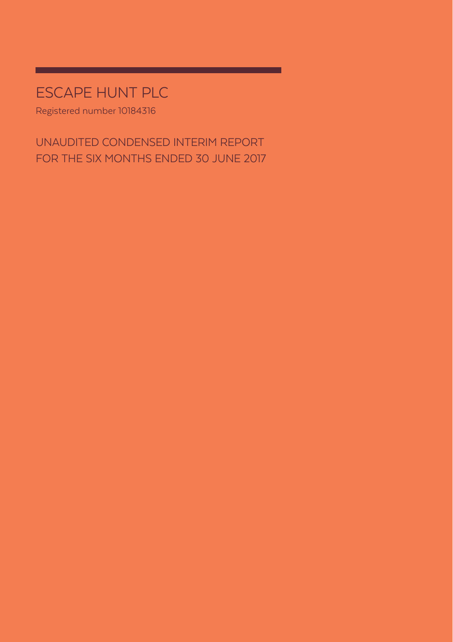# ESCAPE HUNT PLC

Registered number 10184316

UNAUDITED CONDENSED INTERIM REPORT FOR THE SIX MONTHS ENDED 30 JUNE 2017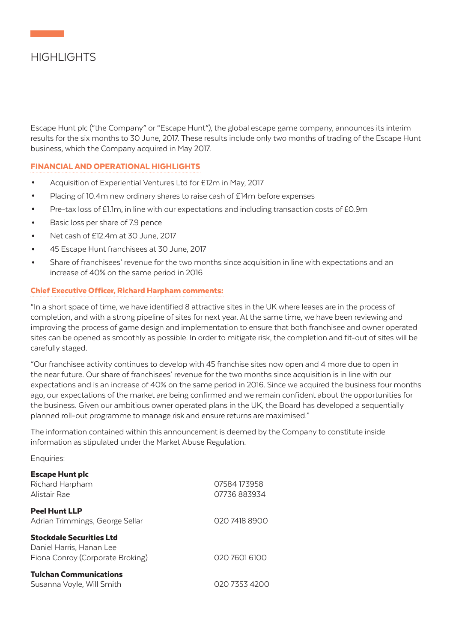# HIGHI IGHTS

Escape Hunt plc ("the Company" or "Escape Hunt"), the global escape game company, announces its interim results for the six months to 30 June, 2017. These results include only two months of trading of the Escape Hunt business, which the Company acquired in May 2017.

### FINANCIAL AND OPERATIONAL HIGHLIGHTS

- Acquisition of Experiential Ventures Ltd for £12m in May, 2017
- Placing of 10.4m new ordinary shares to raise cash of £14m before expenses
- Pre-tax loss of £1.1m, in line with our expectations and including transaction costs of £0.9m
- Basic loss per share of 7.9 pence
- Net cash of £12.4m at 30 June, 2017
- 45 Escape Hunt franchisees at 30 June, 2017
- Share of franchisees' revenue for the two months since acquisition in line with expectations and an increase of 40% on the same period in 2016

### Chief Executive Officer, Richard Harpham comments:

"In a short space of time, we have identified 8 attractive sites in the UK where leases are in the process of completion, and with a strong pipeline of sites for next year. At the same time, we have been reviewing and improving the process of game design and implementation to ensure that both franchisee and owner operated sites can be opened as smoothly as possible. In order to mitigate risk, the completion and fit-out of sites will be carefully staged.

"Our franchisee activity continues to develop with 45 franchise sites now open and 4 more due to open in the near future. Our share of franchisees' revenue for the two months since acquisition is in line with our expectations and is an increase of 40% on the same period in 2016. Since we acquired the business four months ago, our expectations of the market are being confirmed and we remain confident about the opportunities for the business. Given our ambitious owner operated plans in the UK, the Board has developed a sequentially planned roll-out programme to manage risk and ensure returns are maximised."

The information contained within this announcement is deemed by the Company to constitute inside information as stipulated under the Market Abuse Regulation.

Enquiries:

| <b>Escape Hunt plc</b><br>Richard Harpham<br>Alistair Rae                                       | 07584 173958<br>07736883934 |
|-------------------------------------------------------------------------------------------------|-----------------------------|
| <b>Peel Hunt LLP</b><br>Adrian Trimmings, George Sellar                                         | 020 7418 8900               |
| <b>Stockdale Securities Ltd</b><br>Daniel Harris, Hanan Lee<br>Fiona Conroy (Corporate Broking) | 020 7601 6100               |
| <b>Tulchan Communications</b><br>Susanna Voyle, Will Smith                                      | 020 7353 4200               |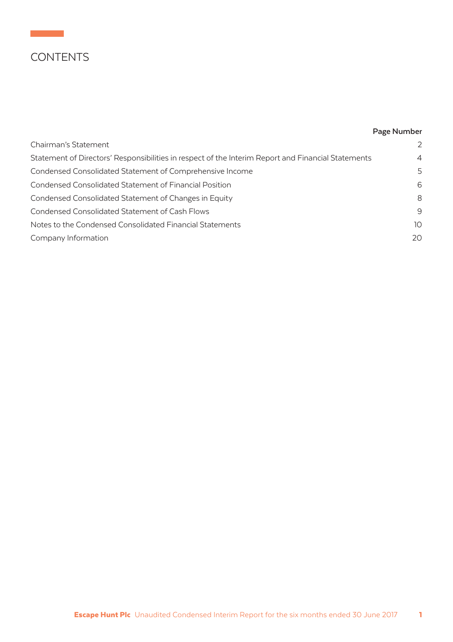# **CONTENTS**

## **Page Number**

| Chairman's Statement                                                                               | $\mathcal{P}$  |
|----------------------------------------------------------------------------------------------------|----------------|
| Statement of Directors' Responsibilities in respect of the Interim Report and Financial Statements | $\overline{4}$ |
| Condensed Consolidated Statement of Comprehensive Income                                           | 5              |
| Condensed Consolidated Statement of Financial Position                                             | 6              |
| Condensed Consolidated Statement of Changes in Equity                                              | 8              |
| Condensed Consolidated Statement of Cash Flows                                                     | 9              |
| Notes to the Condensed Consolidated Financial Statements                                           | 10             |
| Company Information                                                                                | 20             |
|                                                                                                    |                |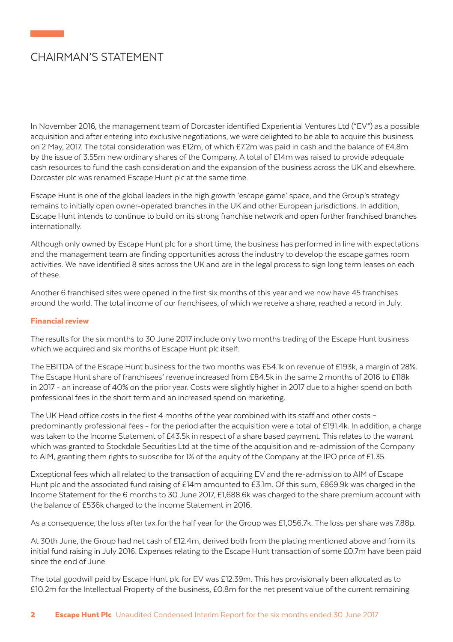# CHAIRMAN'S STATEMENT

In November 2016, the management team of Dorcaster identified Experiential Ventures Ltd ("EV") as a possible acquisition and after entering into exclusive negotiations, we were delighted to be able to acquire this business on 2 May, 2017. The total consideration was £12m, of which £7.2m was paid in cash and the balance of £4.8m by the issue of 3.55m new ordinary shares of the Company. A total of £14m was raised to provide adequate cash resources to fund the cash consideration and the expansion of the business across the UK and elsewhere. Dorcaster plc was renamed Escape Hunt plc at the same time.

Escape Hunt is one of the global leaders in the high growth 'escape game' space, and the Group's strategy remains to initially open owner-operated branches in the UK and other European jurisdictions. In addition, Escape Hunt intends to continue to build on its strong franchise network and open further franchised branches internationally.

Although only owned by Escape Hunt plc for a short time, the business has performed in line with expectations and the management team are finding opportunities across the industry to develop the escape games room activities. We have identified 8 sites across the UK and are in the legal process to sign long term leases on each of these.

Another 6 franchised sites were opened in the first six months of this year and we now have 45 franchises around the world. The total income of our franchisees, of which we receive a share, reached a record in July.

### Financial review

The results for the six months to 30 June 2017 include only two months trading of the Escape Hunt business which we acquired and six months of Escape Hunt plc itself.

The EBITDA of the Escape Hunt business for the two months was £54.1k on revenue of £193k, a margin of 28%. The Escape Hunt share of franchisees' revenue increased from £84.5k in the same 2 months of 2016 to £118k in 2017 - an increase of 40% on the prior year. Costs were slightly higher in 2017 due to a higher spend on both professional fees in the short term and an increased spend on marketing.

The UK Head office costs in the first 4 months of the year combined with its staff and other costs – predominantly professional fees - for the period after the acquisition were a total of £191.4k. In addition, a charge was taken to the Income Statement of £43.5k in respect of a share based payment. This relates to the warrant which was granted to Stockdale Securities Ltd at the time of the acquisition and re-admission of the Company to AIM, granting them rights to subscribe for 1% of the equity of the Company at the IPO price of £1.35.

Exceptional fees which all related to the transaction of acquiring EV and the re-admission to AIM of Escape Hunt plc and the associated fund raising of £14m amounted to £3.1m. Of this sum, £869.9k was charged in the Income Statement for the 6 months to 30 June 2017, £1,688.6k was charged to the share premium account with the balance of £536k charged to the Income Statement in 2016.

As a consequence, the loss after tax for the half year for the Group was £1,056.7k. The loss per share was 7.88p.

At 30th June, the Group had net cash of £12.4m, derived both from the placing mentioned above and from its initial fund raising in July 2016. Expenses relating to the Escape Hunt transaction of some £0.7m have been paid since the end of June.

The total goodwill paid by Escape Hunt plc for EV was £12.39m. This has provisionally been allocated as to £10.2m for the Intellectual Property of the business, £0.8m for the net present value of the current remaining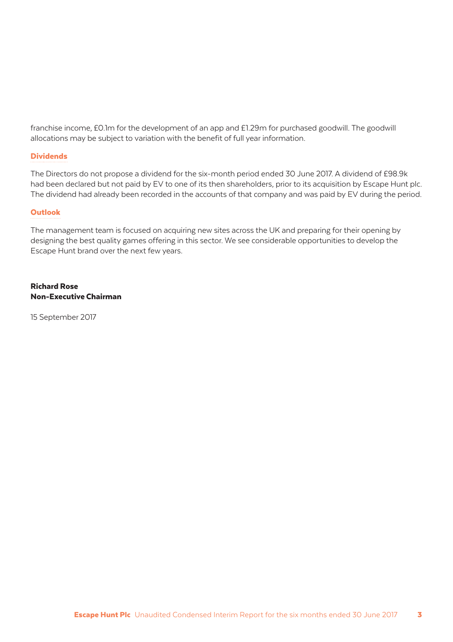franchise income, £0.1m for the development of an app and £1.29m for purchased goodwill. The goodwill allocations may be subject to variation with the benefit of full year information.

### Dividends

The Directors do not propose a dividend for the six-month period ended 30 June 2017. A dividend of £98.9k had been declared but not paid by EV to one of its then shareholders, prior to its acquisition by Escape Hunt plc. The dividend had already been recorded in the accounts of that company and was paid by EV during the period.

### **Outlook**

The management team is focused on acquiring new sites across the UK and preparing for their opening by designing the best quality games offering in this sector. We see considerable opportunities to develop the Escape Hunt brand over the next few years.

#### Richard Rose Non-Executive Chairman

15 September 2017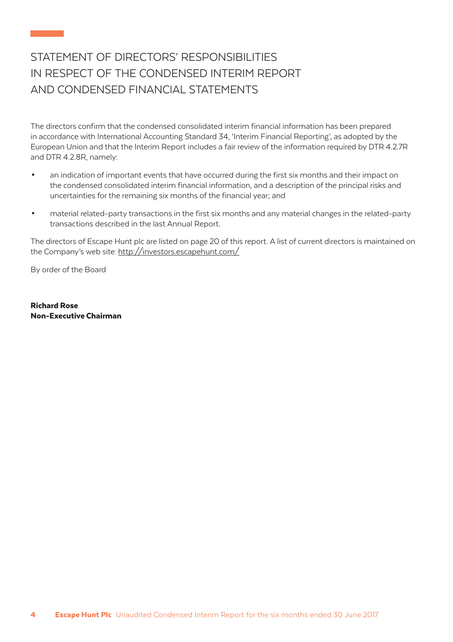# STATEMENT OF DIRECTORS' RESPONSIBILITIES IN RESPECT OF THE CONDENSED INTERIM REPORT AND CONDENSED FINANCIAL STATEMENTS

The directors confirm that the condensed consolidated interim financial information has been prepared in accordance with International Accounting Standard 34, 'Interim Financial Reporting', as adopted by the European Union and that the Interim Report includes a fair review of the information required by DTR 4.2.7R and DTR 4.2.8R, namely:

- an indication of important events that have occurred during the first six months and their impact on the condensed consolidated interim financial information, and a description of the principal risks and uncertainties for the remaining six months of the financial year; and
- material related-party transactions in the first six months and any material changes in the related-party transactions described in the last Annual Report.

The directors of Escape Hunt plc are listed on page 20 of this report. A list of current directors is maintained on the Company's web site: http://investors.escapehunt.com/

By order of the Board

Richard Rose Non-Executive Chairman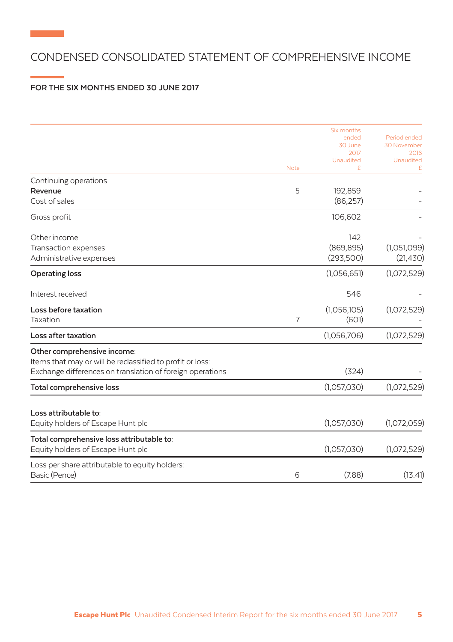## CONDENSED CONSOLIDATED STATEMENT OF COMPREHENSIVE INCOME

### **FOR THE SIX MONTHS ENDED 30 JUNE 2017**

**Contract Contract** 

|                                                           |                | Six months<br>ended<br>30 June<br>2017 | Period ended<br>30 November<br>2016 |
|-----------------------------------------------------------|----------------|----------------------------------------|-------------------------------------|
|                                                           | <b>Note</b>    | <b>Unaudited</b><br>£                  | Unaudited<br>£                      |
| Continuing operations                                     |                |                                        |                                     |
| Revenue                                                   | 5              | 192,859                                |                                     |
| Cost of sales                                             |                | (86, 257)                              |                                     |
| Gross profit                                              |                | 106,602                                |                                     |
| Other income                                              |                | 142                                    |                                     |
| Transaction expenses                                      |                | (869, 895)                             | (1,051,099)                         |
| Administrative expenses                                   |                | (293,500)                              | (21, 430)                           |
| <b>Operating loss</b>                                     |                | (1,056,651)                            | (1,072,529)                         |
| Interest received                                         |                | 546                                    |                                     |
| Loss before taxation                                      |                | (1,056,105)                            | (1,072,529)                         |
| Taxation                                                  | $\overline{7}$ | (601)                                  |                                     |
| Loss after taxation                                       |                | (1,056,706)                            | (1,072,529)                         |
| Other comprehensive income:                               |                |                                        |                                     |
| Items that may or will be reclassified to profit or loss: |                |                                        |                                     |
| Exchange differences on translation of foreign operations |                | (324)                                  |                                     |
| <b>Total comprehensive loss</b>                           |                | (1,057,030)                            | (1,072,529)                         |
| Loss attributable to:                                     |                |                                        |                                     |
| Equity holders of Escape Hunt plc                         |                | (1,057,030)                            | (1,072,059)                         |
| Total comprehensive loss attributable to:                 |                |                                        |                                     |
| Equity holders of Escape Hunt plc                         |                | (1,057,030)                            | (1,072,529)                         |
| Loss per share attributable to equity holders:            |                |                                        |                                     |
| Basic (Pence)                                             | 6              | (7.88)                                 | (13.41)                             |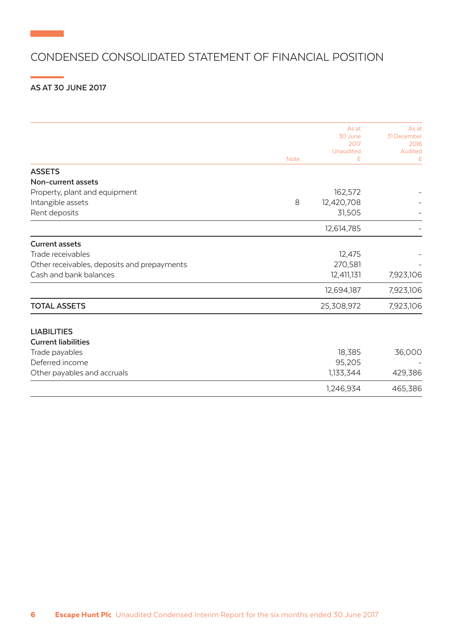## CONDENSED CONSOLIDATED STATEMENT OF FINANCIAL POSITION

## **AS AT 30 JUNE 2017**

**Contract Contract** 

|                                             |             | As at<br>30 June | As at<br>31 December |
|---------------------------------------------|-------------|------------------|----------------------|
|                                             |             | 2017             | 2016                 |
|                                             |             | Unaudited        | Audited              |
|                                             | <b>Note</b> | £                | £                    |
| <b>ASSETS</b>                               |             |                  |                      |
| Non-current assets                          |             |                  |                      |
| Property, plant and equipment               |             | 162,572          |                      |
| Intangible assets                           | 8           | 12,420,708       |                      |
| Rent deposits                               |             | 31,505           |                      |
|                                             |             | 12,614,785       |                      |
| <b>Current assets</b>                       |             |                  |                      |
| Trade receivables                           |             | 12,475           |                      |
| Other receivables, deposits and prepayments |             | 270,581          |                      |
| Cash and bank balances                      |             | 12,411,131       | 7,923,106            |
|                                             |             | 12,694,187       | 7,923,106            |
| <b>TOTAL ASSETS</b>                         |             | 25,308,972       | 7,923,106            |
| <b>LIABILITIES</b>                          |             |                  |                      |
| <b>Current liabilities</b>                  |             |                  |                      |
| Trade payables                              |             | 18,385           | 36,000               |
| Deferred income                             |             | 95,205           |                      |
| Other payables and accruals                 |             | 1,133,344        | 429,386              |
|                                             |             | 1,246,934        | 465,386              |
|                                             |             |                  |                      |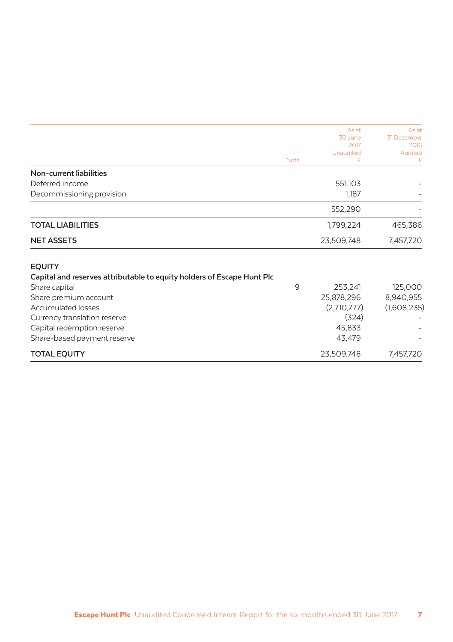|                                                                        |             | As at<br>30 June<br>2017 | As at<br>31 December<br>2016 |
|------------------------------------------------------------------------|-------------|--------------------------|------------------------------|
|                                                                        | <b>Note</b> | Unaudited<br>£           | Audited<br>£                 |
| Non-current liabilities                                                |             |                          |                              |
| Deferred income                                                        |             | 551,103                  |                              |
| Decommissioning provision                                              |             | 1,187                    |                              |
|                                                                        |             | 552,290                  |                              |
| <b>TOTAL LIABILITIES</b>                                               |             | 1,799,224                | 465,386                      |
| <b>NET ASSETS</b>                                                      |             | 23,509,748               | 7,457,720                    |
| <b>EQUITY</b>                                                          |             |                          |                              |
| Capital and reserves attributable to equity holders of Escape Hunt Plc |             |                          |                              |
| Share capital                                                          | 9           | 253,241                  | 125,000                      |
| Share premium account                                                  |             | 25,878,296               | 8,940,955                    |
| <b>Accumulated losses</b>                                              |             | (2,710,777)              | (1,608,235)                  |
| Currency translation reserve                                           |             | (324)                    |                              |
| Capital redemption reserve                                             |             | 45,833                   |                              |
| Share-based payment reserve                                            |             | 43,479                   |                              |
| <b>TOTAL EQUITY</b>                                                    |             | 23,509,748               | 7,457,720                    |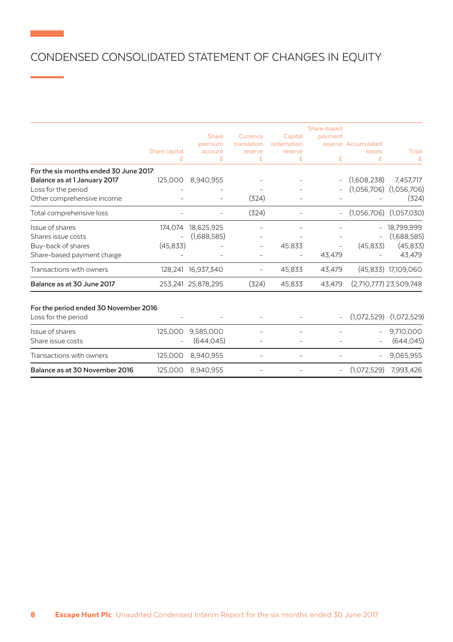# CONDENSED CONSOLIDATED STATEMENT OF CHANGES IN EQUITY

| £ | £                                        | £                                                                             |        |        | losses                   | Total                                                     |
|---|------------------------------------------|-------------------------------------------------------------------------------|--------|--------|--------------------------|-----------------------------------------------------------|
|   |                                          |                                                                               | £      | £      | £                        | £                                                         |
|   |                                          |                                                                               |        |        |                          |                                                           |
|   |                                          |                                                                               |        |        |                          | 7,457,717                                                 |
|   |                                          |                                                                               |        |        |                          |                                                           |
|   |                                          |                                                                               |        |        |                          | (324)                                                     |
|   |                                          | (324)                                                                         |        |        |                          | (1,057,030)                                               |
|   | 18,625,925                               |                                                                               |        |        | $\overline{a}$           | 18,799,999                                                |
|   | (1,688,585)                              |                                                                               |        |        |                          | (1,688,585)                                               |
|   |                                          |                                                                               | 45.833 |        | (45, 833)                | (45, 833)                                                 |
|   |                                          |                                                                               |        | 43,479 |                          | 43,479                                                    |
|   |                                          |                                                                               | 45,833 | 43,479 |                          | (45,833) 17,109,060                                       |
|   |                                          | (324)                                                                         | 45,833 | 43,479 |                          | (2,710,777) 23,509,748                                    |
|   |                                          |                                                                               |        |        |                          |                                                           |
|   |                                          |                                                                               |        |        | (1.072.529)              | (1,072,529)                                               |
|   | 9,585,000                                |                                                                               |        |        | $\overline{\phantom{0}}$ | 9,710,000                                                 |
|   | (644, 045)                               |                                                                               |        |        |                          | (644, 045)                                                |
|   | 8.940.955                                |                                                                               |        |        | $\overline{\phantom{0}}$ | 9,065,955                                                 |
|   | 8.940.955                                |                                                                               |        |        | (1,072,529)              | 7.993.426                                                 |
|   | 174,074<br>125,000<br>125,000<br>125,000 | 8,940,955<br>125,000<br>(45, 833)<br>128,241 16,937,340<br>253,241 25,878,295 | (324)  |        |                          | (1,608,238)<br>$(1,056,706)$ $(1,056,706)$<br>(1,056,706) |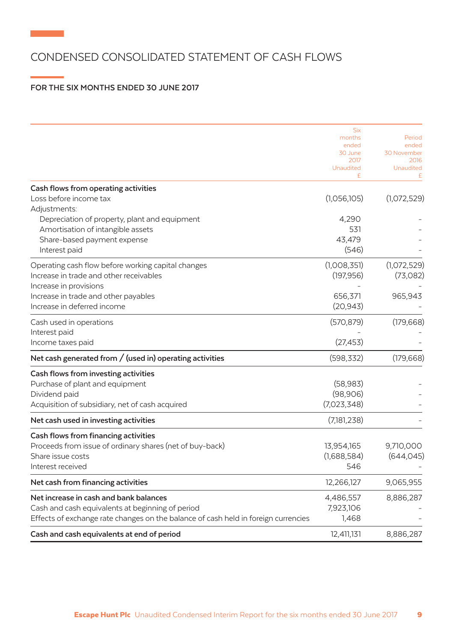## CONDENSED CONSOLIDATED STATEMENT OF CASH FLOWS

## **FOR THE SIX MONTHS ENDED 30 JUNE 2017**

**Contract Contract** 

|                                                                                    | <b>Six</b>       |                      |
|------------------------------------------------------------------------------------|------------------|----------------------|
|                                                                                    | months           | Period               |
|                                                                                    | ended<br>30 June | ended<br>30 November |
|                                                                                    | 2017             | 2016                 |
|                                                                                    | Unaudited        | Unaudited            |
|                                                                                    | £                |                      |
| Cash flows from operating activities                                               |                  |                      |
| Loss before income tax                                                             | (1,056,105)      | (1,072,529)          |
| Adjustments:                                                                       |                  |                      |
| Depreciation of property, plant and equipment                                      | 4,290            |                      |
| Amortisation of intangible assets                                                  | 531              |                      |
| Share-based payment expense                                                        | 43,479           |                      |
| Interest paid                                                                      | (546)            |                      |
|                                                                                    |                  |                      |
| Operating cash flow before working capital changes                                 | (1,008,351)      | (1,072,529)          |
| Increase in trade and other receivables                                            | (197, 956)       | (73,082)             |
| Increase in provisions                                                             |                  |                      |
| Increase in trade and other payables                                               | 656,371          | 965,943              |
| Increase in deferred income                                                        | (20, 943)        |                      |
| Cash used in operations                                                            | (570, 879)       | (179, 668)           |
| Interest paid                                                                      |                  |                      |
| Income taxes paid                                                                  | (27, 453)        |                      |
| Net cash generated from $/$ (used in) operating activities                         | (598, 332)       | (179, 668)           |
| Cash flows from investing activities                                               |                  |                      |
| Purchase of plant and equipment                                                    | (58, 983)        |                      |
| Dividend paid                                                                      | (98,906)         |                      |
|                                                                                    | (7,023,348)      |                      |
| Acquisition of subsidiary, net of cash acquired                                    |                  |                      |
| Net cash used in investing activities                                              | (7,181,238)      |                      |
| Cash flows from financing activities                                               |                  |                      |
| Proceeds from issue of ordinary shares (net of buy-back)                           | 13,954,165       | 9,710,000            |
| Share issue costs                                                                  | (1,688,584)      | (644, 045)           |
| Interest received                                                                  | 546              |                      |
| Net cash from financing activities                                                 | 12,266,127       | 9,065,955            |
| Net increase in cash and bank balances                                             | 4,486,557        | 8,886,287            |
| Cash and cash equivalents at beginning of period                                   | 7,923,106        |                      |
| Effects of exchange rate changes on the balance of cash held in foreign currencies | 1,468            |                      |
|                                                                                    |                  |                      |
| Cash and cash equivalents at end of period                                         | 12,411,131       | 8,886,287            |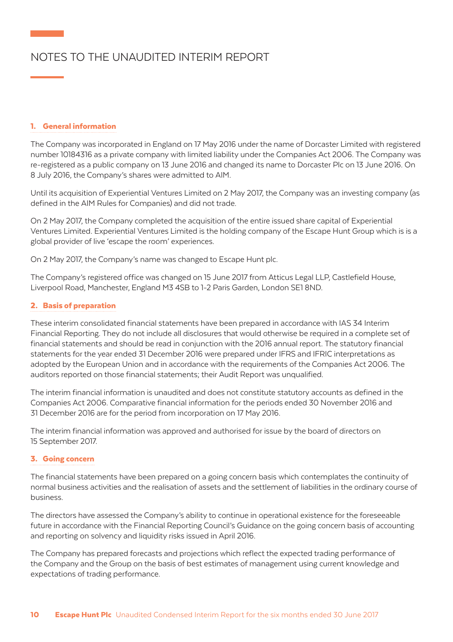# NOTES TO THE UNAUDITED INTERIM REPORT

### 1. General information

The Company was incorporated in England on 17 May 2016 under the name of Dorcaster Limited with registered number 10184316 as a private company with limited liability under the Companies Act 2006. The Company was re-registered as a public company on 13 June 2016 and changed its name to Dorcaster Plc on 13 June 2016. On 8 July 2016, the Company's shares were admitted to AIM.

Until its acquisition of Experiential Ventures Limited on 2 May 2017, the Company was an investing company (as defined in the AIM Rules for Companies) and did not trade.

On 2 May 2017, the Company completed the acquisition of the entire issued share capital of Experiential Ventures Limited. Experiential Ventures Limited is the holding company of the Escape Hunt Group which is is a global provider of live 'escape the room' experiences.

On 2 May 2017, the Company's name was changed to Escape Hunt plc.

The Company's registered office was changed on 15 June 2017 from Atticus Legal LLP, Castlefield House, Liverpool Road, Manchester, England M3 4SB to 1-2 Paris Garden, London SE1 8ND.

### 2. Basis of preparation

These interim consolidated financial statements have been prepared in accordance with IAS 34 Interim Financial Reporting. They do not include all disclosures that would otherwise be required in a complete set of financial statements and should be read in conjunction with the 2016 annual report. The statutory financial statements for the year ended 31 December 2016 were prepared under IFRS and IFRIC interpretations as adopted by the European Union and in accordance with the requirements of the Companies Act 2006. The auditors reported on those financial statements; their Audit Report was unqualified.

The interim financial information is unaudited and does not constitute statutory accounts as defined in the Companies Act 2006. Comparative financial information for the periods ended 30 November 2016 and 31 December 2016 are for the period from incorporation on 17 May 2016.

The interim financial information was approved and authorised for issue by the board of directors on 15 September 2017.

#### 3. Going concern

The financial statements have been prepared on a going concern basis which contemplates the continuity of normal business activities and the realisation of assets and the settlement of liabilities in the ordinary course of business.

The directors have assessed the Company's ability to continue in operational existence for the foreseeable future in accordance with the Financial Reporting Council's Guidance on the going concern basis of accounting and reporting on solvency and liquidity risks issued in April 2016.

The Company has prepared forecasts and projections which reflect the expected trading performance of the Company and the Group on the basis of best estimates of management using current knowledge and expectations of trading performance.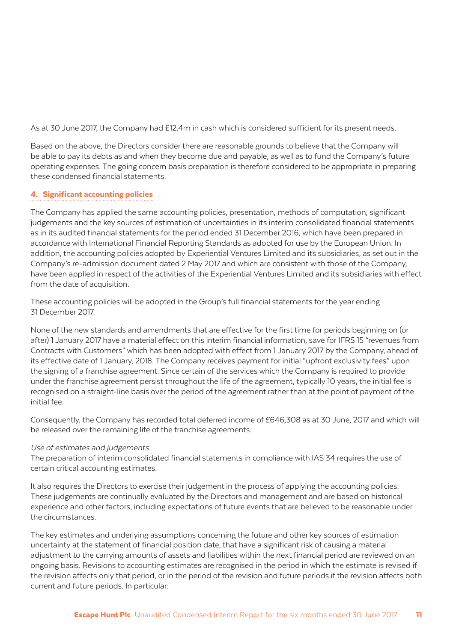As at 30 June 2017, the Company had £12.4m in cash which is considered sufficient for its present needs.

Based on the above, the Directors consider there are reasonable grounds to believe that the Company will be able to pay its debts as and when they become due and payable, as well as to fund the Company's future operating expenses. The going concern basis preparation is therefore considered to be appropriate in preparing these condensed financial statements.

### 4. Significant accounting policies

The Company has applied the same accounting policies, presentation, methods of computation, significant judgements and the key sources of estimation of uncertainties in its interim consolidated financial statements as in its audited financial statements for the period ended 31 December 2016, which have been prepared in accordance with International Financial Reporting Standards as adopted for use by the European Union. In addition, the accounting policies adopted by Experiential Ventures Limited and its subsidiaries, as set out in the Company's re-admission document dated 2 May 2017 and which are consistent with those of the Company, have been applied in respect of the activities of the Experiential Ventures Limited and its subsidiaries with effect from the date of acquisition.

These accounting policies will be adopted in the Group's full financial statements for the year ending 31 December 2017.

None of the new standards and amendments that are effective for the first time for periods beginning on (or after) 1 January 2017 have a material effect on this interim financial information, save for IFRS 15 "revenues from Contracts with Customers" which has been adopted with effect from 1 January 2017 by the Company, ahead of its effective date of 1 January, 2018. The Company receives payment for initial "upfront exclusivity fees" upon the signing of a franchise agreement. Since certain of the services which the Company is required to provide under the franchise agreement persist throughout the life of the agreement, typically 10 years, the initial fee is recognised on a straight-line basis over the period of the agreement rather than at the point of payment of the initial fee.

Consequently, the Company has recorded total deferred income of £646,308 as at 30 June, 2017 and which will be released over the remaining life of the franchise agreements.

#### Use of estimates and judgements

The preparation of interim consolidated financial statements in compliance with IAS 34 requires the use of certain critical accounting estimates.

It also requires the Directors to exercise their judgement in the process of applying the accounting policies. These judgements are continually evaluated by the Directors and management and are based on historical experience and other factors, including expectations of future events that are believed to be reasonable under the circumstances.

The key estimates and underlying assumptions concerning the future and other key sources of estimation uncertainty at the statement of financial position date, that have a significant risk of causing a material adjustment to the carrying amounts of assets and liabilities within the next financial period are reviewed on an ongoing basis. Revisions to accounting estimates are recognised in the period in which the estimate is revised if the revision affects only that period, or in the period of the revision and future periods if the revision affects both current and future periods. In particular: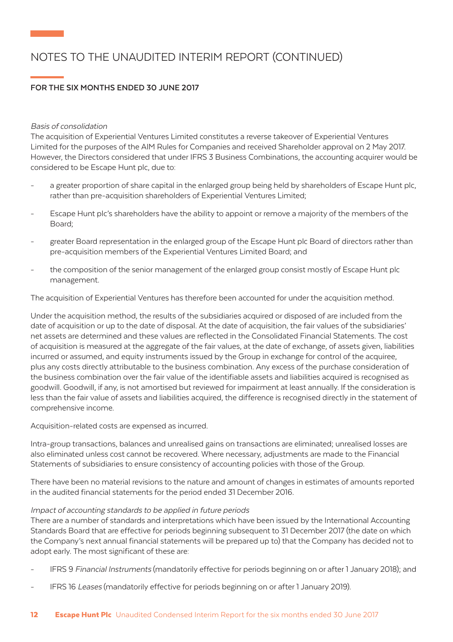# NOTES TO THE UNAUDITED INTERIM REPORT (CONTINUED)

## **FOR THE SIX MONTHS ENDED 30 JUNE 2017**

#### Basis of consolidation

The acquisition of Experiential Ventures Limited constitutes a reverse takeover of Experiential Ventures Limited for the purposes of the AIM Rules for Companies and received Shareholder approval on 2 May 2017. However, the Directors considered that under IFRS 3 Business Combinations, the accounting acquirer would be considered to be Escape Hunt plc, due to:

- a greater proportion of share capital in the enlarged group being held by shareholders of Escape Hunt plc, rather than pre-acquisition shareholders of Experiential Ventures Limited;
- Escape Hunt plc's shareholders have the ability to appoint or remove a majority of the members of the Board;
- greater Board representation in the enlarged group of the Escape Hunt plc Board of directors rather than pre-acquisition members of the Experiential Ventures Limited Board; and
- the composition of the senior management of the enlarged group consist mostly of Escape Hunt plc management.

The acquisition of Experiential Ventures has therefore been accounted for under the acquisition method.

Under the acquisition method, the results of the subsidiaries acquired or disposed of are included from the date of acquisition or up to the date of disposal. At the date of acquisition, the fair values of the subsidiaries' net assets are determined and these values are reflected in the Consolidated Financial Statements. The cost of acquisition is measured at the aggregate of the fair values, at the date of exchange, of assets given, liabilities incurred or assumed, and equity instruments issued by the Group in exchange for control of the acquiree, plus any costs directly attributable to the business combination. Any excess of the purchase consideration of the business combination over the fair value of the identifiable assets and liabilities acquired is recognised as goodwill. Goodwill, if any, is not amortised but reviewed for impairment at least annually. If the consideration is less than the fair value of assets and liabilities acquired, the difference is recognised directly in the statement of comprehensive income.

Acquisition-related costs are expensed as incurred.

Intra-group transactions, balances and unrealised gains on transactions are eliminated; unrealised losses are also eliminated unless cost cannot be recovered. Where necessary, adjustments are made to the Financial Statements of subsidiaries to ensure consistency of accounting policies with those of the Group.

There have been no material revisions to the nature and amount of changes in estimates of amounts reported in the audited financial statements for the period ended 31 December 2016.

#### Impact of accounting standards to be applied in future periods

There are a number of standards and interpretations which have been issued by the International Accounting Standards Board that are effective for periods beginning subsequent to 31 December 2017 (the date on which the Company's next annual financial statements will be prepared up to) that the Company has decided not to adopt early. The most significant of these are:

- IFRS 9 Financial Instruments (mandatorily effective for periods beginning on or after 1 January 2018); and
- IFRS 16 Leases (mandatorily effective for periods beginning on or after 1 January 2019).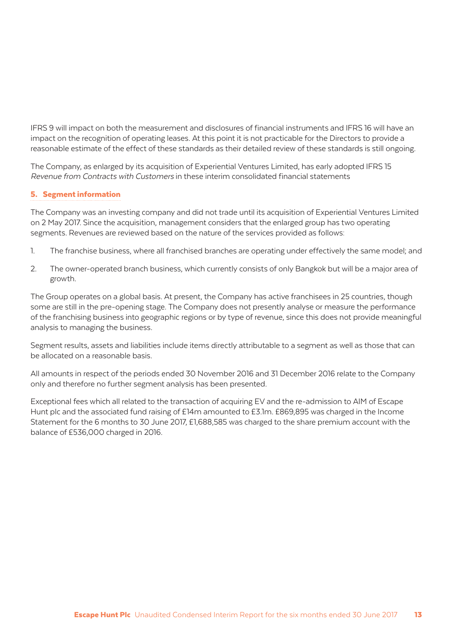IFRS 9 will impact on both the measurement and disclosures of financial instruments and IFRS 16 will have an impact on the recognition of operating leases. At this point it is not practicable for the Directors to provide a reasonable estimate of the effect of these standards as their detailed review of these standards is still ongoing.

The Company, as enlarged by its acquisition of Experiential Ventures Limited, has early adopted IFRS 15 Revenue from Contracts with Customers in these interim consolidated financial statements

### 5. Segment information

The Company was an investing company and did not trade until its acquisition of Experiential Ventures Limited on 2 May 2017. Since the acquisition, management considers that the enlarged group has two operating segments. Revenues are reviewed based on the nature of the services provided as follows:

- 1. The franchise business, where all franchised branches are operating under effectively the same model; and
- 2. The owner-operated branch business, which currently consists of only Bangkok but will be a major area of growth.

The Group operates on a global basis. At present, the Company has active franchisees in 25 countries, though some are still in the pre-opening stage. The Company does not presently analyse or measure the performance of the franchising business into geographic regions or by type of revenue, since this does not provide meaningful analysis to managing the business.

Segment results, assets and liabilities include items directly attributable to a segment as well as those that can be allocated on a reasonable basis.

All amounts in respect of the periods ended 30 November 2016 and 31 December 2016 relate to the Company only and therefore no further segment analysis has been presented.

Exceptional fees which all related to the transaction of acquiring EV and the re-admission to AIM of Escape Hunt plc and the associated fund raising of £14m amounted to £3.1m. £869,895 was charged in the Income Statement for the 6 months to 30 June 2017, £1,688,585 was charged to the share premium account with the balance of £536,000 charged in 2016.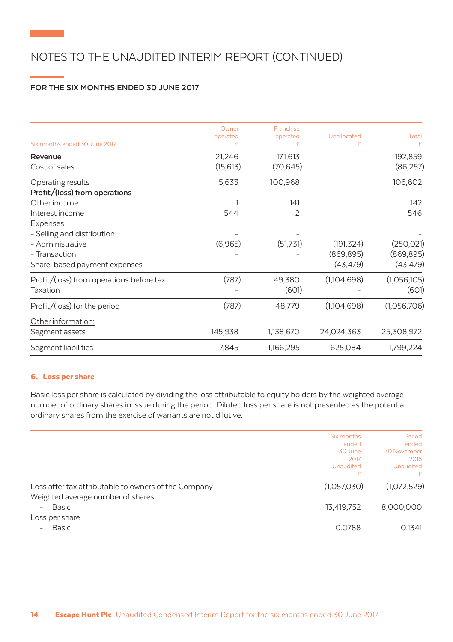# NOTES TO THE UNAUDITED INTERIM REPORT (CONTINUED)

## **FOR THE SIX MONTHS ENDED 30 JUNE 2017**

| Six months ended 30 June 2017                                               | Owner<br>operated<br>£ | Franchise<br>operated<br>F | Unallocated<br>£         | Total                    |
|-----------------------------------------------------------------------------|------------------------|----------------------------|--------------------------|--------------------------|
| Revenue<br>Cost of sales                                                    | 21,246<br>(15, 613)    | 171,613<br>(70, 645)       |                          | 192,859<br>(86, 257)     |
| Operating results<br>Profit/(loss) from operations                          | 5,633                  | 100,968                    |                          | 106,602                  |
| Other income                                                                |                        | 141                        |                          | 142                      |
| Interest income                                                             | 544                    | 2                          |                          | 546                      |
| Expenses<br>- Selling and distribution<br>- Administrative<br>- Transaction | (6,965)                | (51,731)                   | (191, 324)<br>(869, 895) | (250, 021)<br>(869, 895) |
| Share-based payment expenses                                                |                        |                            | (43, 479)                | (43, 479)                |
| Profit/(loss) from operations before tax<br>Taxation                        | (787)                  | 49,380<br>(601)            | (1,104,698)              | (1,056,105)<br>(601)     |
| Profit/(loss) for the period                                                | (787)                  | 48,779                     | (1,104,698)              | (1,056,706)              |
| Other information:                                                          |                        |                            |                          |                          |
| Segment assets                                                              | 145,938                | 1,138,670                  | 24,024,363               | 25,308,972               |
| Segment liabilities                                                         | 7,845                  | 1,166,295                  | 625,084                  | 1,799,224                |
|                                                                             |                        |                            |                          |                          |

### 6. Loss per share

Basic loss per share is calculated by dividing the loss attributable to equity holders by the weighted average number of ordinary shares in issue during the period. Diluted loss per share is not presented as the potential ordinary shares from the exercise of warrants are not dilutive.

|                                                                                            | Six months                            | Period                                           |  |
|--------------------------------------------------------------------------------------------|---------------------------------------|--------------------------------------------------|--|
|                                                                                            | ended<br>30 June<br>2017<br>Unaudited | ended<br>30 November<br>2016<br><b>Unaudited</b> |  |
|                                                                                            | £                                     | £.                                               |  |
| Loss after tax attributable to owners of the Company<br>Weighted average number of shares: | (1,057,030)                           | (1,072,529)                                      |  |
| Basic<br>$\overline{\phantom{a}}$<br>Loss per share                                        | 13,419,752                            | 8,000,000                                        |  |
| <b>Basic</b>                                                                               | 0.0788                                | 0.1341                                           |  |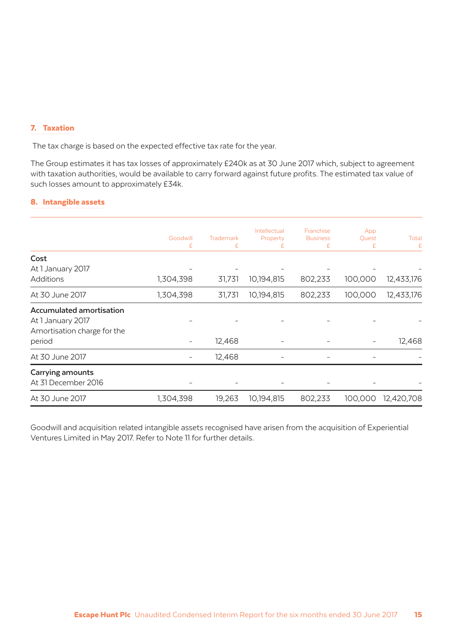#### 7. Taxation

The tax charge is based on the expected effective tax rate for the year.

The Group estimates it has tax losses of approximately £240k as at 30 June 2017 which, subject to agreement with taxation authorities, would be available to carry forward against future profits. The estimated tax value of such losses amount to approximately £34k.

## 8. Intangible assets

|                                 | Goodwill<br>£ | Trademark<br>£ | Intellectual<br>Property<br>£ | Franchise<br><b>Business</b><br>£ | App<br>Quest<br>£ | Total<br>£ |
|---------------------------------|---------------|----------------|-------------------------------|-----------------------------------|-------------------|------------|
| Cost                            |               |                |                               |                                   |                   |            |
| At 1 January 2017               |               |                |                               |                                   |                   |            |
| <b>Additions</b>                | 1,304,398     | 31,731         | 10,194,815                    | 802,233                           | 100,000           | 12,433,176 |
| At 30 June 2017                 | 1,304,398     | 31,731         | 10,194,815                    | 802,233                           | 100,000           | 12,433,176 |
| <b>Accumulated amortisation</b> |               |                |                               |                                   |                   |            |
| At 1 January 2017               |               |                |                               |                                   |                   |            |
| Amortisation charge for the     |               |                |                               |                                   |                   |            |
| period                          |               | 12,468         |                               |                                   |                   | 12,468     |
| At 30 June 2017                 |               | 12,468         |                               |                                   |                   |            |
| Carrying amounts                |               |                |                               |                                   |                   |            |
| At 31 December 2016             |               |                |                               |                                   |                   |            |
| At 30 June 2017                 | 1,304,398     | 19,263         | 10,194,815                    | 802,233                           | 100,000           | 12,420,708 |
|                                 |               |                |                               |                                   |                   |            |

Goodwill and acquisition related intangible assets recognised have arisen from the acquisition of Experiential Ventures Limited in May 2017. Refer to Note 11 for further details.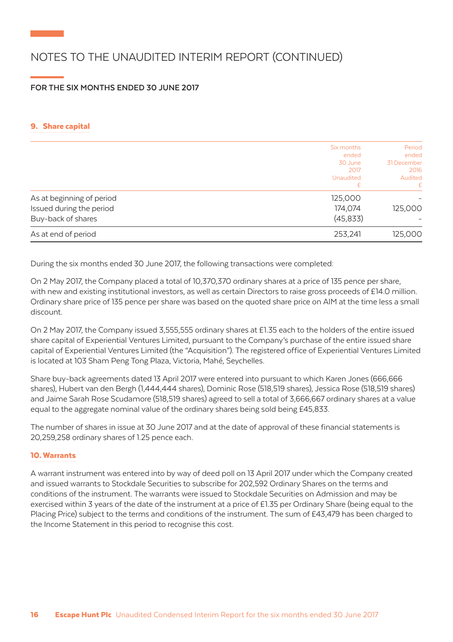# NOTES TO THE UNAUDITED INTERIM REPORT (CONTINUED)

## **FOR THE SIX MONTHS ENDED 30 JUNE 2017**

### 9. Share capital

|                           | Six months | Period      |
|---------------------------|------------|-------------|
|                           | ended      | ended       |
|                           | 30 June    | 31 December |
|                           | 2017       | 2016        |
|                           | Unaudited  | Audited     |
|                           | £          | £           |
| As at beginning of period | 125,000    |             |
| Issued during the period  | 174,074    | 125,000     |
| Buy-back of shares        | (45, 833)  |             |
| As at end of period       | 253,241    | 125,000     |

During the six months ended 30 June 2017, the following transactions were completed:

On 2 May 2017, the Company placed a total of 10,370,370 ordinary shares at a price of 135 pence per share, with new and existing institutional investors, as well as certain Directors to raise gross proceeds of £14.0 million. Ordinary share price of 135 pence per share was based on the quoted share price on AIM at the time less a small discount.

On 2 May 2017, the Company issued 3,555,555 ordinary shares at £1.35 each to the holders of the entire issued share capital of Experiential Ventures Limited, pursuant to the Company's purchase of the entire issued share capital of Experiential Ventures Limited (the "Acquisition"). The registered office of Experiential Ventures Limited is located at 103 Sham Peng Tong Plaza, Victoria, Mahé, Seychelles.

Share buy-back agreements dated 13 April 2017 were entered into pursuant to which Karen Jones (666,666 shares), Hubert van den Bergh (1,444,444 shares), Dominic Rose (518,519 shares), Jessica Rose (518,519 shares) and Jaime Sarah Rose Scudamore (518,519 shares) agreed to sell a total of 3,666,667 ordinary shares at a value equal to the aggregate nominal value of the ordinary shares being sold being £45,833.

The number of shares in issue at 30 June 2017 and at the date of approval of these financial statements is 20,259,258 ordinary shares of 1.25 pence each.

#### 10.Warrants

A warrant instrument was entered into by way of deed poll on 13 April 2017 under which the Company created and issued warrants to Stockdale Securities to subscribe for 202,592 Ordinary Shares on the terms and conditions of the instrument. The warrants were issued to Stockdale Securities on Admission and may be exercised within 3 years of the date of the instrument at a price of £1.35 per Ordinary Share (being equal to the Placing Price) subject to the terms and conditions of the instrument. The sum of £43,479 has been charged to the Income Statement in this period to recognise this cost.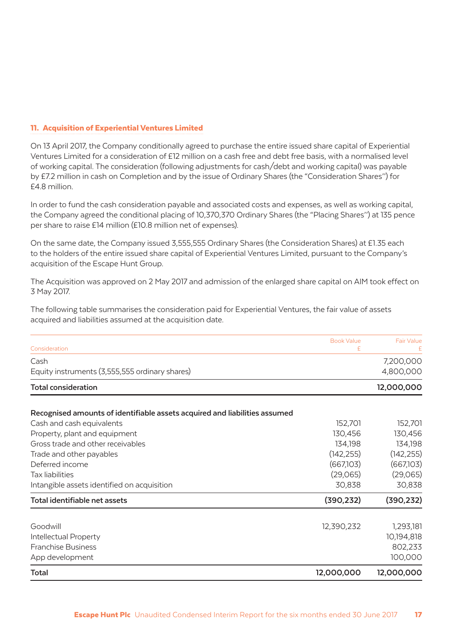### 11. Acquisition of Experiential Ventures Limited

On 13 April 2017, the Company conditionally agreed to purchase the entire issued share capital of Experiential Ventures Limited for a consideration of £12 million on a cash free and debt free basis, with a normalised level of working capital. The consideration (following adjustments for cash/debt and working capital) was payable by £7.2 million in cash on Completion and by the issue of Ordinary Shares (the "Consideration Shares'') for £4.8 million.

In order to fund the cash consideration payable and associated costs and expenses, as well as working capital, the Company agreed the conditional placing of 10,370,370 Ordinary Shares (the "Placing Shares'') at 135 pence per share to raise £14 million (£10.8 million net of expenses).

On the same date, the Company issued 3,555,555 Ordinary Shares (the Consideration Shares) at £1.35 each to the holders of the entire issued share capital of Experiential Ventures Limited, pursuant to the Company's acquisition of the Escape Hunt Group.

The Acquisition was approved on 2 May 2017 and admission of the enlarged share capital on AIM took effect on 3 May 2017.

The following table summarises the consideration paid for Experiential Ventures, the fair value of assets acquired and liabilities assumed at the acquisition date.

|                                                                            | <b>Book Value</b> | <b>Fair Value</b> |
|----------------------------------------------------------------------------|-------------------|-------------------|
| Consideration                                                              | £                 |                   |
| Cash                                                                       |                   | 7,200,000         |
| Equity instruments (3,555,555 ordinary shares)                             |                   | 4,800,000         |
| <b>Total consideration</b>                                                 |                   | 12,000,000        |
| Recognised amounts of identifiable assets acquired and liabilities assumed |                   |                   |
| Cash and cash equivalents                                                  | 152,701           | 152,701           |
| Property, plant and equipment                                              | 130,456           | 130,456           |
| Gross trade and other receivables                                          | 134,198           | 134,198           |
| Trade and other payables                                                   | (142, 255)        | (142, 255)        |
| Deferred income                                                            | (667,103)         | (667,103)         |
| Tax liabilities                                                            | (29,065)          | (29,065)          |
| Intangible assets identified on acquisition                                | 30,838            | 30,838            |
| Total identifiable net assets                                              | (390, 232)        | (390, 232)        |
| Goodwill                                                                   | 12,390,232        | 1,293,181         |
| Intellectual Property                                                      |                   | 10,194,818        |
| <b>Franchise Business</b>                                                  |                   | 802,233           |
| App development                                                            |                   | 100,000           |
| Total                                                                      | 12,000,000        | 12,000,000        |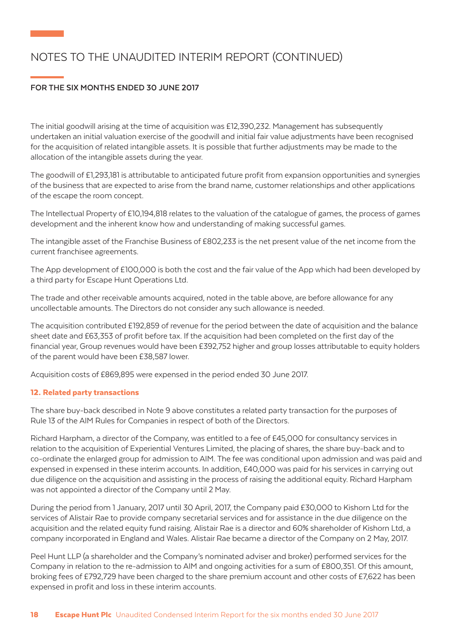# NOTES TO THE UNAUDITED INTERIM REPORT (CONTINUED)

## **FOR THE SIX MONTHS ENDED 30 JUNE 2017**

The initial goodwill arising at the time of acquisition was £12,390,232. Management has subsequently undertaken an initial valuation exercise of the goodwill and initial fair value adjustments have been recognised for the acquisition of related intangible assets. It is possible that further adjustments may be made to the allocation of the intangible assets during the year.

The goodwill of £1,293,181 is attributable to anticipated future profit from expansion opportunities and synergies of the business that are expected to arise from the brand name, customer relationships and other applications of the escape the room concept.

The Intellectual Property of £10,194,818 relates to the valuation of the catalogue of games, the process of games development and the inherent know how and understanding of making successful games.

The intangible asset of the Franchise Business of £802,233 is the net present value of the net income from the current franchisee agreements.

The App development of £100,000 is both the cost and the fair value of the App which had been developed by a third party for Escape Hunt Operations Ltd.

The trade and other receivable amounts acquired, noted in the table above, are before allowance for any uncollectable amounts. The Directors do not consider any such allowance is needed.

The acquisition contributed £192,859 of revenue for the period between the date of acquisition and the balance sheet date and £63,353 of profit before tax. If the acquisition had been completed on the first day of the financial year, Group revenues would have been £392,752 higher and group losses attributable to equity holders of the parent would have been £38,587 lower.

Acquisition costs of £869,895 were expensed in the period ended 30 June 2017.

### 12. Related party transactions

The share buy-back described in Note 9 above constitutes a related party transaction for the purposes of Rule 13 of the AIM Rules for Companies in respect of both of the Directors.

Richard Harpham, a director of the Company, was entitled to a fee of £45,000 for consultancy services in relation to the acquisition of Experiential Ventures Limited, the placing of shares, the share buy-back and to co-ordinate the enlarged group for admission to AIM. The fee was conditional upon admission and was paid and expensed in expensed in these interim accounts. In addition, £40,000 was paid for his services in carrying out due diligence on the acquisition and assisting in the process of raising the additional equity. Richard Harpham was not appointed a director of the Company until 2 May.

During the period from 1 January, 2017 until 30 April, 2017, the Company paid £30,000 to Kishorn Ltd for the services of Alistair Rae to provide company secretarial services and for assistance in the due diligence on the acquisition and the related equity fund raising. Alistair Rae is a director and 60% shareholder of Kishorn Ltd, a company incorporated in England and Wales. Alistair Rae became a director of the Company on 2 May, 2017.

Peel Hunt LLP (a shareholder and the Company's nominated adviser and broker) performed services for the Company in relation to the re-admission to AIM and ongoing activities for a sum of £800,351. Of this amount, broking fees of £792,729 have been charged to the share premium account and other costs of £7,622 has been expensed in profit and loss in these interim accounts.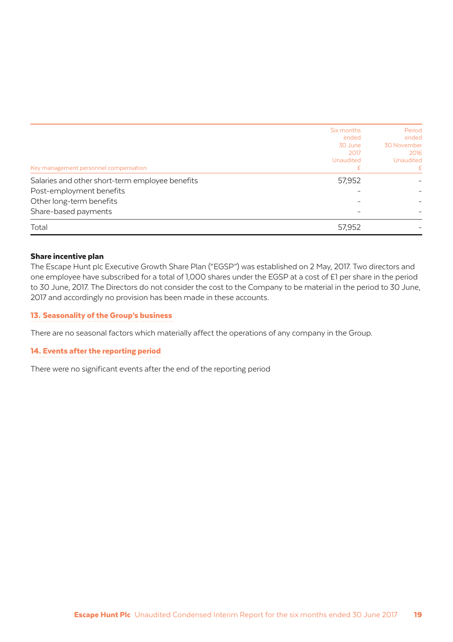| Key management personnel compensation | Six months<br>ended<br>30 June<br>2017<br><b>Unaudited</b><br>£ | Period<br>ended<br>30 November<br>2016<br>Unaudited<br>£ |
|---------------------------------------|-----------------------------------------------------------------|----------------------------------------------------------|
|                                       |                                                                 |                                                          |
| Post-employment benefits              |                                                                 |                                                          |
| Other long-term benefits              |                                                                 |                                                          |
| Share-based payments                  |                                                                 |                                                          |
| Total                                 | 57,952                                                          |                                                          |

#### Share incentive plan

The Escape Hunt plc Executive Growth Share Plan ("EGSP") was established on 2 May, 2017. Two directors and one employee have subscribed for a total of 1,000 shares under the EGSP at a cost of £1 per share in the period to 30 June, 2017. The Directors do not consider the cost to the Company to be material in the period to 30 June, 2017 and accordingly no provision has been made in these accounts.

#### 13. Seasonality of the Group's business

There are no seasonal factors which materially affect the operations of any company in the Group.

### 14. Events after the reporting period

There were no significant events after the end of the reporting period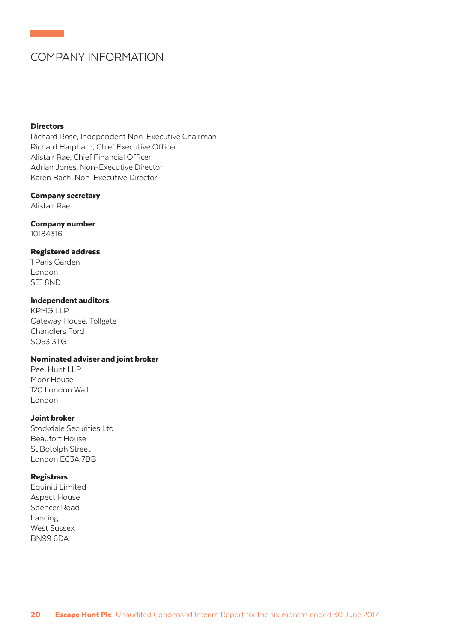## COMPANY INFORMATION

#### **Directors**

Richard Rose, Independent Non-Executive Chairman Richard Harpham, Chief Executive Officer Alistair Rae, Chief Financial Officer Adrian Jones, Non-Executive Director Karen Bach, Non-Executive Director

#### Company secretary

Alistair Rae

### Company number

10184316

#### Registered address

1 Paris Garden London SE1 8ND

#### Independent auditors

KPMG LLP Gateway House, Tollgate Chandlers Ford SO53 3TG

### Nominated adviser and joint broker

Peel Hunt LLP Moor House 120 London Wall London

#### Joint broker

Stockdale Securities Ltd Beaufort House St Botolph Street London EC3A 7BB

### Registrars

Equiniti Limited Aspect House Spencer Road Lancing West Sussex BN99 6DA